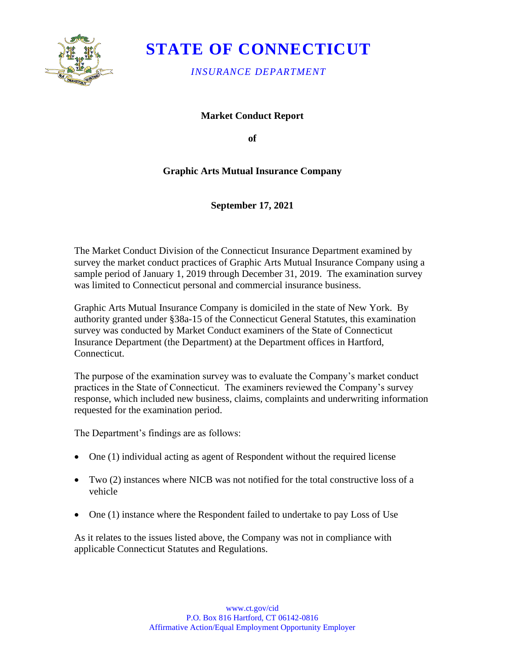

# **STATE OF CONNECTICUT**

*INSURANCE DEPARTMENT*

**Market Conduct Report**

**of** 

# **Graphic Arts Mutual Insurance Company**

**September 17, 2021**

The Market Conduct Division of the Connecticut Insurance Department examined by survey the market conduct practices of Graphic Arts Mutual Insurance Company using a sample period of January 1, 2019 through December 31, 2019. The examination survey was limited to Connecticut personal and commercial insurance business.

Graphic Arts Mutual Insurance Company is domiciled in the state of New York. By authority granted under §38a-15 of the Connecticut General Statutes, this examination survey was conducted by Market Conduct examiners of the State of Connecticut Insurance Department (the Department) at the Department offices in Hartford, Connecticut.

The purpose of the examination survey was to evaluate the Company's market conduct practices in the State of Connecticut. The examiners reviewed the Company's survey response, which included new business, claims, complaints and underwriting information requested for the examination period.

The Department's findings are as follows:

- One (1) individual acting as agent of Respondent without the required license
- Two (2) instances where NICB was not notified for the total constructive loss of a vehicle
- One (1) instance where the Respondent failed to undertake to pay Loss of Use

As it relates to the issues listed above, the Company was not in compliance with applicable Connecticut Statutes and Regulations.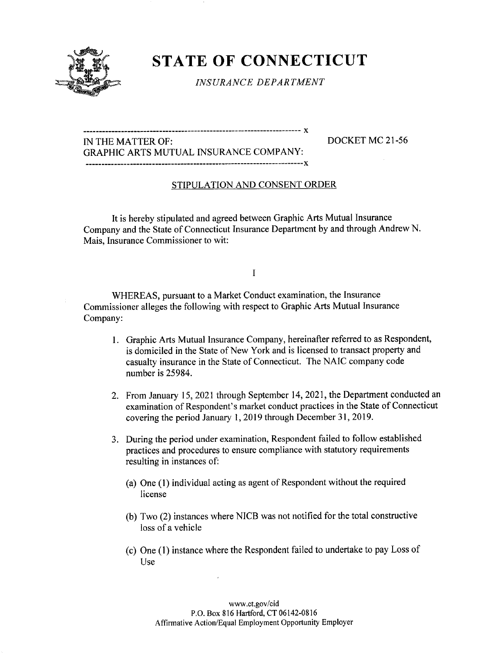

# STATE OF CONNECTICUT

INSURANCE DEPARTMENT

X IN THE MATTER OF: DOCKET MC 21-56

GRAPHIC ARTS MUTUAL INSURANCE COMPANY: 

## STIPULATION AND CONSENT ORDER

It is hereby stipulated and agreed between Graphic Arts Mutual Insurance Company and the State of Connecticut Insurance Department by and through Andrew N. Mais, Insurance Commissioner to wit:

### I

WHEREAS, pursuant to a Market Conduct examination, the Insurance Commissioner alleges the following with respect to Graphic Arts Mutual Insurance Company:

- 1. Graphic Arts Mutual Insurance Company, hereinafter referred to as Respondent, is domiciled in the State of New York and is licensed to transact property and casualty insurance in the State of Connecticut. The NAIC company code number is 25984.
- 2. From January 15, 2021 through September 14, 2021, the Department conducted an examination of Respondent's market conduct practices in the State of Connecticut covering the period January 1, 2019 through December 31, 2019.
- 3. During the period under examination, Respondent failed to follow established practices and procedures to ensure compliance with statutory requirements resulting in instances of:
	- (a) One (1) individual acting as agent of Respondent without the required license
	- (b) Two (2) instances where NICB was not notified for the total constructive loss of a vehicle
	- (c) One (1) instance where the Respondent failed to undertake to pay Loss of Use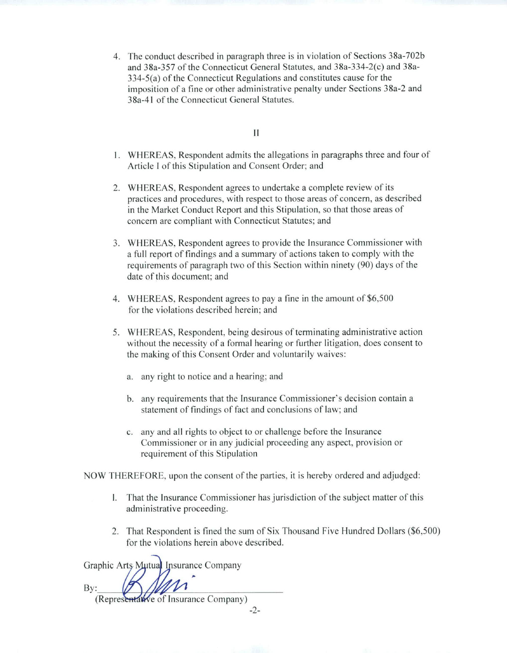4. The conduct described in paragraph three is in violation of Sections 38a-702b and 38a-357 of the Connecticut General Statutes, and 38a-334-2(c) and 38a-334-5(a) of the Connecticut Regulations and constitutes cause for the imposition of a fine or other administrative penalty under Sections 38a-2 and 38a-4l of the Connecticut General Statutes.

#### II

- 1. WHEREAS, Respondent admits the allegations in paragraphs three and four of Article I of this Stipulation and Consent Order; and
- 2. WHEREAS, Respondent agrees to undertake a complete review of its practices and procedures, with respect to those areas of concern, as described in the Market Conduct Report and this Stipulation, so that those areas of concern are compliant with Connecticut Statutes; and
- 3. WHEREAS, Respondent agrees to provide the Insurance Commissioner with a full report of findings and a summary of actions taken to comply with the requirements of paragraph two of this Section within ninety (90) days of the date of this document; and
- 4. WHEREAS, Respondent agrees to pay a fine in the amount of \$6,500 for the violations described herein; and
- 5. WHEREAS, Respondent, being desirous of terminating administrative action without the necessity of a formal hearing or further litigation, does consent to the making of this Consent Order and voluntarily waives:
	- a. any right to notice and a hearing; and
	- b. any requirements that the Insurance Commissioner's decision contain a statement of findings of fact and conclusions of law; and
	- c. any and all rights to object to or challenge before the Insurance Commissioner or in any judicial proceeding any aspect, provision or requirement of this Stipulation

NOW THEREFORE, upon the consent of the parties, it is hereby ordered and adjudged:

- 1. That the Insurance Commissioner has jurisdiction of the subject matter of this administrative proceeding.
- 2. That Respondent is fined the sum of Six Thousand Five Hundred Dollars (\$6,500) for the violations herein above described.

Graphic Arts Mutual Insurance Company By:

(Representative of Insurance Company)